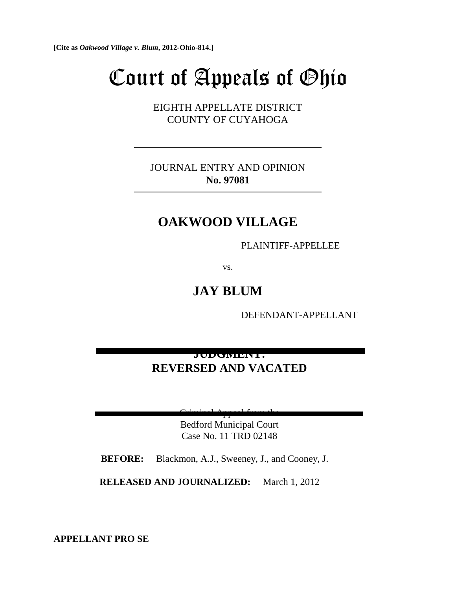**[Cite as** *Oakwood Village v. Blum***, 2012-Ohio-814.]**

# Court of Appeals of Ohio

EIGHTH APPELLATE DISTRICT COUNTY OF CUYAHOGA

JOURNAL ENTRY AND OPINION **No. 97081**

## **OAKWOOD VILLAGE**

PLAINTIFF-APPELLEE

vs.

**JAY BLUM**

DEFENDANT-APPELLANT

## **JUDGMENT: REVERSED AND VACATED**

 $C^*$  and  $C^*$   $A$ 

Bedford Municipal Court Case No. 11 TRD 02148

 **BEFORE:** Blackmon, A.J., Sweeney, J., and Cooney, J.

**RELEASED AND JOURNALIZED:** March 1, 2012

**APPELLANT PRO SE**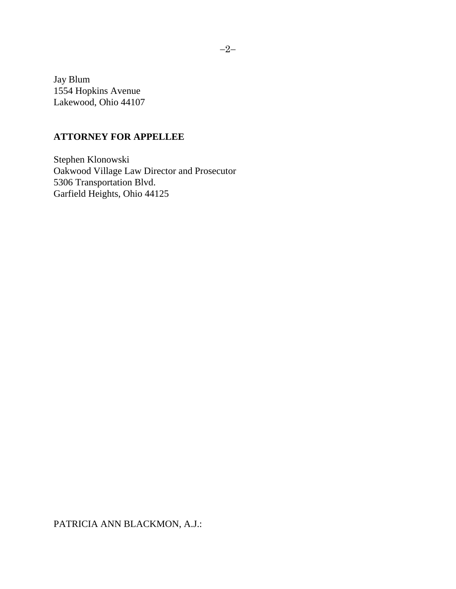Jay Blum 1554 Hopkins Avenue Lakewood, Ohio 44107

### **ATTORNEY FOR APPELLEE**

Stephen Klonowski Oakwood Village Law Director and Prosecutor 5306 Transportation Blvd. Garfield Heights, Ohio 44125

PATRICIA ANN BLACKMON, A.J.: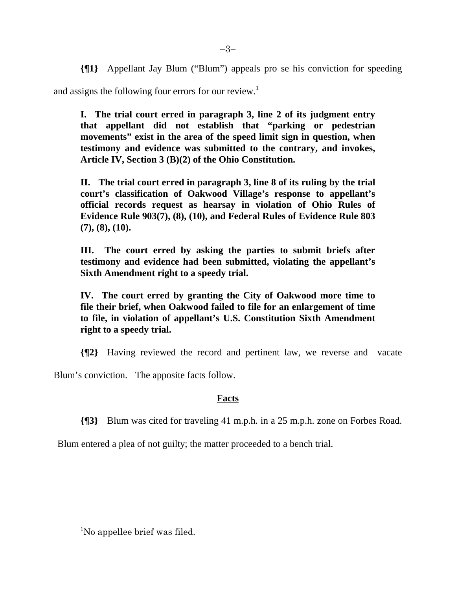**{¶1}** Appellant Jay Blum ("Blum") appeals pro se his conviction for speeding

and assigns the following four errors for our review.<sup>1</sup>

**I. The trial court erred in paragraph 3, line 2 of its judgment entry that appellant did not establish that "parking or pedestrian movements" exist in the area of the speed limit sign in question, when testimony and evidence was submitted to the contrary, and invokes, Article IV, Section 3 (B)(2) of the Ohio Constitution.** 

**II. The trial court erred in paragraph 3, line 8 of its ruling by the trial court's classification of Oakwood Village's response to appellant's official records request as hearsay in violation of Ohio Rules of Evidence Rule 903(7), (8), (10), and Federal Rules of Evidence Rule 803 (7), (8), (10).** 

**III. The court erred by asking the parties to submit briefs after testimony and evidence had been submitted, violating the appellant's Sixth Amendment right to a speedy trial.** 

**IV. The court erred by granting the City of Oakwood more time to file their brief, when Oakwood failed to file for an enlargement of time to file, in violation of appellant's U.S. Constitution Sixth Amendment right to a speedy trial.**

**{¶2}** Having reviewed the record and pertinent law, we reverse and vacate

Blum's conviction. The apposite facts follow.

## **Facts**

**{¶3}** Blum was cited for traveling 41 m.p.h. in a 25 m.p.h. zone on Forbes Road.

Blum entered a plea of not guilty; the matter proceeded to a bench trial.

 $-3-$ 

 $\frac{1}{1}$ <sup>1</sup>No appellee brief was filed.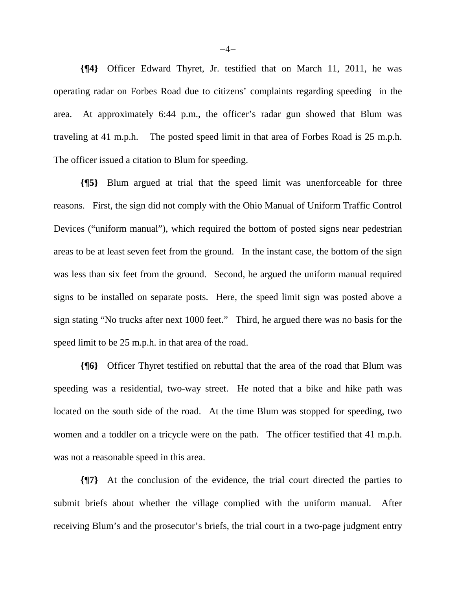**{¶4}** Officer Edward Thyret, Jr. testified that on March 11, 2011, he was operating radar on Forbes Road due to citizens' complaints regarding speeding in the area. At approximately 6:44 p.m., the officer's radar gun showed that Blum was traveling at 41 m.p.h. The posted speed limit in that area of Forbes Road is 25 m.p.h. The officer issued a citation to Blum for speeding.

**{¶5}** Blum argued at trial that the speed limit was unenforceable for three reasons. First, the sign did not comply with the Ohio Manual of Uniform Traffic Control Devices ("uniform manual"), which required the bottom of posted signs near pedestrian areas to be at least seven feet from the ground. In the instant case, the bottom of the sign was less than six feet from the ground. Second, he argued the uniform manual required signs to be installed on separate posts. Here, the speed limit sign was posted above a sign stating "No trucks after next 1000 feet." Third, he argued there was no basis for the speed limit to be 25 m.p.h. in that area of the road.

**{¶6}** Officer Thyret testified on rebuttal that the area of the road that Blum was speeding was a residential, two-way street. He noted that a bike and hike path was located on the south side of the road. At the time Blum was stopped for speeding, two women and a toddler on a tricycle were on the path. The officer testified that 41 m.p.h. was not a reasonable speed in this area.

**{¶7}** At the conclusion of the evidence, the trial court directed the parties to submit briefs about whether the village complied with the uniform manual. After receiving Blum's and the prosecutor's briefs, the trial court in a two-page judgment entry

 $-4-$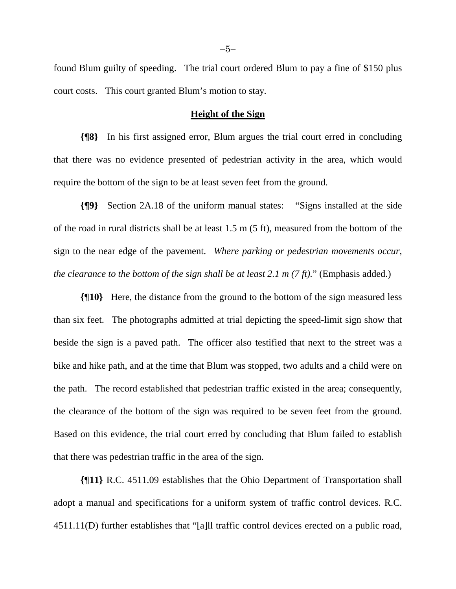found Blum guilty of speeding. The trial court ordered Blum to pay a fine of \$150 plus court costs. This court granted Blum's motion to stay.

#### **Height of the Sign**

**{¶8}** In his first assigned error, Blum argues the trial court erred in concluding that there was no evidence presented of pedestrian activity in the area, which would require the bottom of the sign to be at least seven feet from the ground.

**{¶9}** Section 2A.18 of the uniform manual states: "Signs installed at the side of the road in rural districts shall be at least 1.5 m (5 ft), measured from the bottom of the sign to the near edge of the pavement. *Where parking or pedestrian movements occur, the clearance to the bottom of the sign shall be at least 2.1 m (7 ft).*" (Emphasis added.)

**{¶10}** Here, the distance from the ground to the bottom of the sign measured less than six feet. The photographs admitted at trial depicting the speed-limit sign show that beside the sign is a paved path. The officer also testified that next to the street was a bike and hike path, and at the time that Blum was stopped, two adults and a child were on the path. The record established that pedestrian traffic existed in the area; consequently, the clearance of the bottom of the sign was required to be seven feet from the ground. Based on this evidence, the trial court erred by concluding that Blum failed to establish that there was pedestrian traffic in the area of the sign.

**{¶11}** R.C. 4511.09 establishes that the Ohio Department of Transportation shall adopt a manual and specifications for a uniform system of traffic control devices. R.C. 4511.11(D) further establishes that "[a]ll traffic control devices erected on a public road,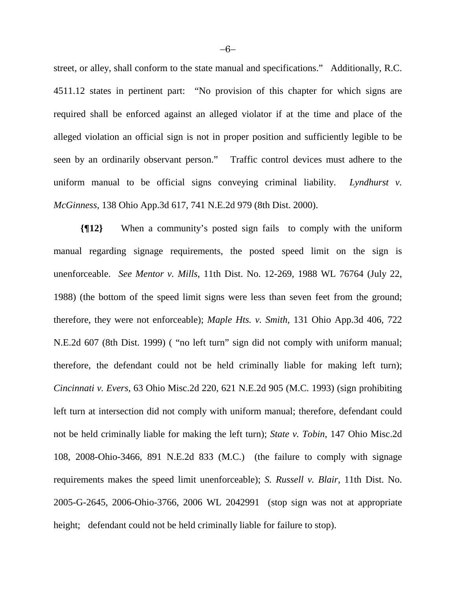street, or alley, shall conform to the state manual and specifications." Additionally, R.C. 4511.12 states in pertinent part: "No provision of this chapter for which signs are required shall be enforced against an alleged violator if at the time and place of the alleged violation an official sign is not in proper position and sufficiently legible to be seen by an ordinarily observant person." Traffic control devices must adhere to the uniform manual to be official signs conveying criminal liability. *Lyndhurst v. McGinness*, 138 Ohio App.3d 617, 741 N.E.2d 979 (8th Dist. 2000).

**{¶12}** When a community's posted sign fails to comply with the uniform manual regarding signage requirements, the posted speed limit on the sign is unenforceable. *See Mentor v. Mills*, 11th Dist. No. 12-269, 1988 WL 76764 (July 22, 1988) (the bottom of the speed limit signs were less than seven feet from the ground; therefore, they were not enforceable); *Maple Hts. v. Smith*, 131 Ohio App.3d 406, 722 N.E.2d 607 (8th Dist. 1999) ( "no left turn" sign did not comply with uniform manual; therefore, the defendant could not be held criminally liable for making left turn); *Cincinnati v. Evers*, 63 Ohio Misc.2d 220, 621 N.E.2d 905 (M.C. 1993) (sign prohibiting left turn at intersection did not comply with uniform manual; therefore, defendant could not be held criminally liable for making the left turn); *State v. Tobin*, 147 Ohio Misc.2d 108, 2008-Ohio-3466, 891 N.E.2d 833 (M.C.) (the failure to comply with signage requirements makes the speed limit unenforceable); *S. Russell v. Blair*, 11th Dist. No. 2005-G-2645, 2006-Ohio-3766, 2006 WL 2042991 (stop sign was not at appropriate height; defendant could not be held criminally liable for failure to stop).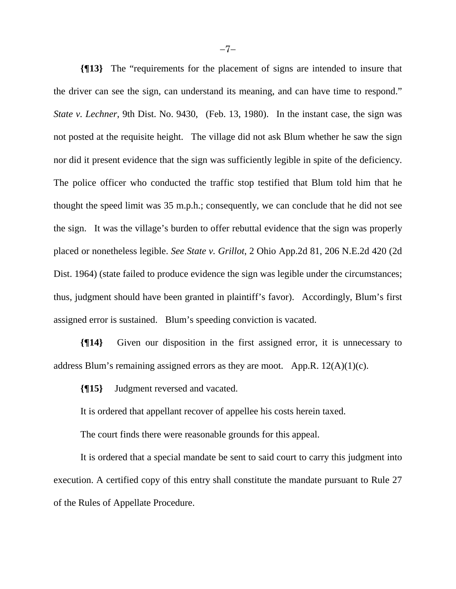**{¶13}** The "requirements for the placement of signs are intended to insure that the driver can see the sign, can understand its meaning, and can have time to respond." *State v. Lechner*, 9th Dist. No. 9430, (Feb. 13, 1980). In the instant case, the sign was not posted at the requisite height. The village did not ask Blum whether he saw the sign nor did it present evidence that the sign was sufficiently legible in spite of the deficiency. The police officer who conducted the traffic stop testified that Blum told him that he thought the speed limit was 35 m.p.h.; consequently, we can conclude that he did not see the sign. It was the village's burden to offer rebuttal evidence that the sign was properly placed or nonetheless legible. *See State v. Grillot*, 2 Ohio App.2d 81, 206 N.E.2d 420 (2d Dist. 1964) (state failed to produce evidence the sign was legible under the circumstances; thus, judgment should have been granted in plaintiff's favor). Accordingly, Blum's first assigned error is sustained. Blum's speeding conviction is vacated.

**{¶14}** Given our disposition in the first assigned error, it is unnecessary to address Blum's remaining assigned errors as they are moot. App.R.  $12(A)(1)(c)$ .

**{¶15}** Judgment reversed and vacated.

It is ordered that appellant recover of appellee his costs herein taxed.

The court finds there were reasonable grounds for this appeal.

It is ordered that a special mandate be sent to said court to carry this judgment into execution. A certified copy of this entry shall constitute the mandate pursuant to Rule 27 of the Rules of Appellate Procedure.